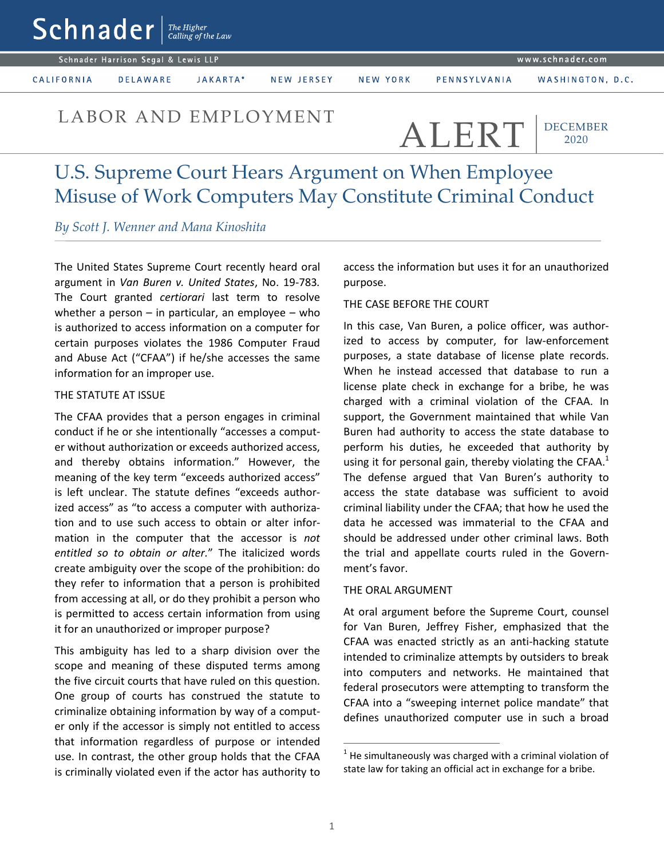www.schnader.com

Schnader Harrison Segal & Lewis LLP

 $\mathsf{Sch}$ nader  $\lceil \frac{\mathit{The Higher}}{\mathit{Calling of the Law}} \rceil$ 

CALIFORNIA

**DELAWARE** JAKARTA\* NEW JERSEY

NEW YORK

WASHINGTON, D.C.

# LABOR AND EMPLOYMENT ALERT

DECEMBER 2020

# U.S. Supreme Court Hears Argument on When Employee Misuse of Work Computers May Constitute Criminal Conduct

*By Scott J. Wenner and Mana Kinoshita*

The United States Supreme Court recently heard oral argument in *Van Buren v. United States*, No. 19-783*.* The Court granted *certiorari* last term to resolve whether a person  $-$  in particular, an employee  $-$  who is authorized to access information on a computer for certain purposes violates the 1986 Computer Fraud and Abuse Act ("CFAA") if he/she accesses the same information for an improper use.

#### THE STATUTE AT ISSUE

The CFAA provides that a person engages in criminal conduct if he or she intentionally "accesses a computer without authorization or exceeds authorized access, and thereby obtains information." However, the meaning of the key term "exceeds authorized access" is left unclear. The statute defines "exceeds authorized access" as "to access a computer with authorization and to use such access to obtain or alter information in the computer that the accessor is *not entitled so to obtain or alter.*" The italicized words create ambiguity over the scope of the prohibition: do they refer to information that a person is prohibited from accessing at all, or do they prohibit a person who is permitted to access certain information from using it for an unauthorized or improper purpose?

This ambiguity has led to a sharp division over the scope and meaning of these disputed terms among the five circuit courts that have ruled on this question. One group of courts has construed the statute to criminalize obtaining information by way of a computer only if the accessor is simply not entitled to access that information regardless of purpose or intended use. In contrast, the other group holds that the CFAA is criminally violated even if the actor has authority to access the information but uses it for an unauthorized purpose.

## THE CASE BEFORE THE COURT

In this case, Van Buren, a police officer, was authorized to access by computer, for law-enforcement purposes, a state database of license plate records. When he instead accessed that database to run a license plate check in exchange for a bribe, he was charged with a criminal violation of the CFAA. In support, the Government maintained that while Van Buren had authority to access the state database to perform his duties, he exceeded that authority by using it for personal gain, thereby violating the CFAA. $^1$ The defense argued that Van Buren's authority to access the state database was sufficient to avoid criminal liability under the CFAA; that how he used the data he accessed was immaterial to the CFAA and should be addressed under other criminal laws. Both the trial and appellate courts ruled in the Government's favor.

### THE ORAL ARGUMENT

At oral argument before the Supreme Court, counsel for Van Buren, Jeffrey Fisher, emphasized that the CFAA was enacted strictly as an anti-hacking statute intended to criminalize attempts by outsiders to break into computers and networks. He maintained that federal prosecutors were attempting to transform the CFAA into a "sweeping internet police mandate" that defines unauthorized computer use in such a broad

1

 $<sup>1</sup>$  He simultaneously was charged with a criminal violation of</sup> state law for taking an official act in exchange for a bribe.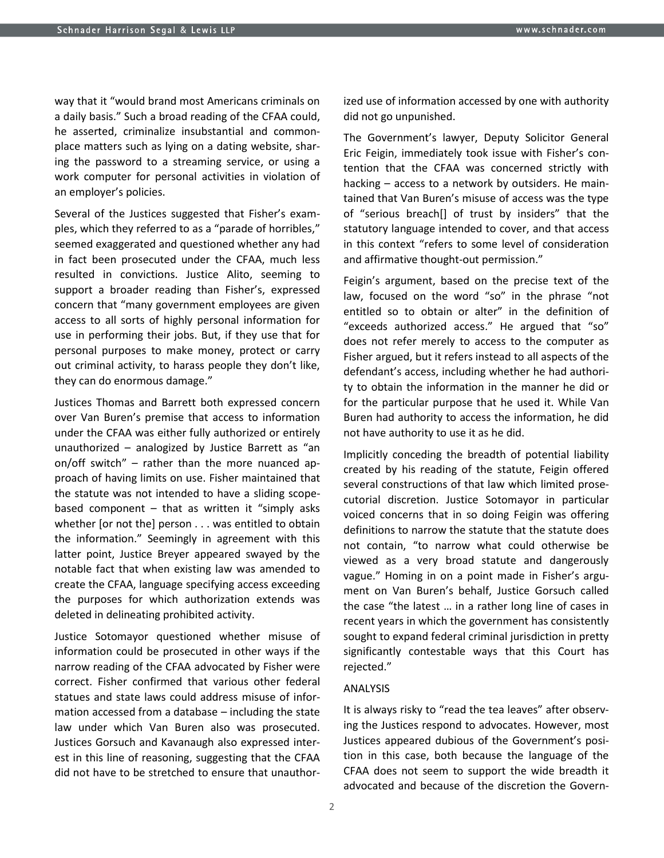way that it "would brand most Americans criminals on a daily basis." Such a broad reading of the CFAA could, he asserted, criminalize insubstantial and commonplace matters such as lying on a dating website, sharing the password to a streaming service, or using a work computer for personal activities in violation of an employer's policies.

Several of the Justices suggested that Fisher's examples, which they referred to as a "parade of horribles," seemed exaggerated and questioned whether any had in fact been prosecuted under the CFAA, much less resulted in convictions. Justice Alito, seeming to support a broader reading than Fisher's, expressed concern that "many government employees are given access to all sorts of highly personal information for use in performing their jobs. But, if they use that for personal purposes to make money, protect or carry out criminal activity, to harass people they don't like, they can do enormous damage."

Justices Thomas and Barrett both expressed concern over Van Buren's premise that access to information under the CFAA was either fully authorized or entirely unauthorized – analogized by Justice Barrett as "an on/off switch" – rather than the more nuanced approach of having limits on use. Fisher maintained that the statute was not intended to have a sliding scopebased component  $-$  that as written it "simply asks whether [or not the] person . . . was entitled to obtain the information." Seemingly in agreement with this latter point, Justice Breyer appeared swayed by the notable fact that when existing law was amended to create the CFAA, language specifying access exceeding the purposes for which authorization extends was deleted in delineating prohibited activity.

Justice Sotomayor questioned whether misuse of information could be prosecuted in other ways if the narrow reading of the CFAA advocated by Fisher were correct. Fisher confirmed that various other federal statues and state laws could address misuse of information accessed from a database – including the state law under which Van Buren also was prosecuted. Justices Gorsuch and Kavanaugh also expressed interest in this line of reasoning, suggesting that the CFAA did not have to be stretched to ensure that unauthorized use of information accessed by one with authority did not go unpunished.

The Government's lawyer, Deputy Solicitor General Eric Feigin, immediately took issue with Fisher's contention that the CFAA was concerned strictly with hacking – access to a network by outsiders. He maintained that Van Buren's misuse of access was the type of "serious breach[] of trust by insiders" that the statutory language intended to cover, and that access in this context "refers to some level of consideration and affirmative thought-out permission."

Feigin's argument, based on the precise text of the law, focused on the word "so" in the phrase "not entitled so to obtain or alter" in the definition of "exceeds authorized access." He argued that "so" does not refer merely to access to the computer as Fisher argued, but it refers instead to all aspects of the defendant's access, including whether he had authority to obtain the information in the manner he did or for the particular purpose that he used it. While Van Buren had authority to access the information, he did not have authority to use it as he did.

Implicitly conceding the breadth of potential liability created by his reading of the statute, Feigin offered several constructions of that law which limited prosecutorial discretion. Justice Sotomayor in particular voiced concerns that in so doing Feigin was offering definitions to narrow the statute that the statute does not contain, "to narrow what could otherwise be viewed as a very broad statute and dangerously vague." Homing in on a point made in Fisher's argument on Van Buren's behalf, Justice Gorsuch called the case "the latest … in a rather long line of cases in recent years in which the government has consistently sought to expand federal criminal jurisdiction in pretty significantly contestable ways that this Court has rejected."

#### ANALYSIS

It is always risky to "read the tea leaves" after observing the Justices respond to advocates. However, most Justices appeared dubious of the Government's position in this case, both because the language of the CFAA does not seem to support the wide breadth it advocated and because of the discretion the Govern